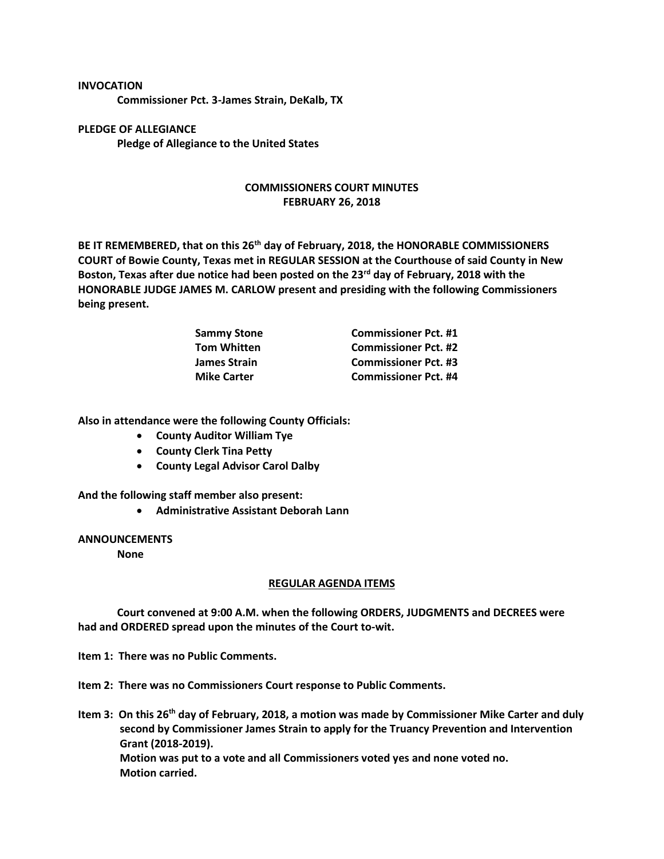## **INVOCATION**

**Commissioner Pct. 3-James Strain, DeKalb, TX**

**PLEDGE OF ALLEGIANCE Pledge of Allegiance to the United States**

## **COMMISSIONERS COURT MINUTES FEBRUARY 26, 2018**

**BE IT REMEMBERED, that on this 26th day of February, 2018, the HONORABLE COMMISSIONERS COURT of Bowie County, Texas met in REGULAR SESSION at the Courthouse of said County in New Boston, Texas after due notice had been posted on the 23rd day of February, 2018 with the HONORABLE JUDGE JAMES M. CARLOW present and presiding with the following Commissioners being present.**

| <b>Sammy Stone</b>  | <b>Commissioner Pct. #1</b> |
|---------------------|-----------------------------|
| <b>Tom Whitten</b>  | <b>Commissioner Pct. #2</b> |
| <b>James Strain</b> | <b>Commissioner Pct. #3</b> |
| <b>Mike Carter</b>  | <b>Commissioner Pct. #4</b> |

**Also in attendance were the following County Officials:**

- **County Auditor William Tye**
- **County Clerk Tina Petty**
- **County Legal Advisor Carol Dalby**

**And the following staff member also present:**

• **Administrative Assistant Deborah Lann**

## **ANNOUNCEMENTS**

**None**

## **REGULAR AGENDA ITEMS**

**Court convened at 9:00 A.M. when the following ORDERS, JUDGMENTS and DECREES were had and ORDERED spread upon the minutes of the Court to-wit.**

**Item 1: There was no Public Comments.**

**Item 2: There was no Commissioners Court response to Public Comments.**

**Item 3: On this 26th day of February, 2018, a motion was made by Commissioner Mike Carter and duly second by Commissioner James Strain to apply for the Truancy Prevention and Intervention Grant (2018-2019). Motion was put to a vote and all Commissioners voted yes and none voted no. Motion carried.**